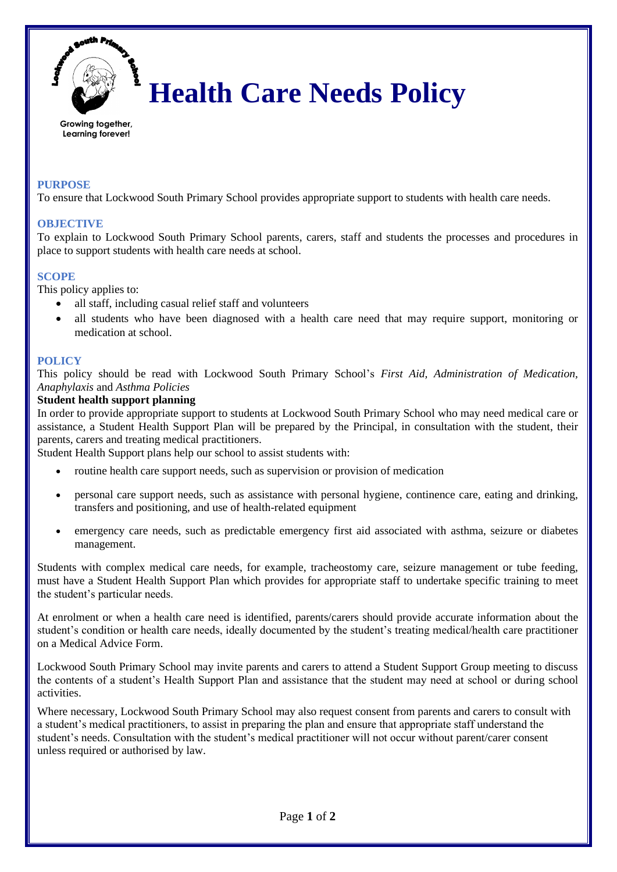

# **Health Care Needs Policy**

**Growing together, Learning forever!**

# **PURPOSE**

To ensure that Lockwood South Primary School provides appropriate support to students with health care needs.

## **OBJECTIVE**

To explain to Lockwood South Primary School parents, carers, staff and students the processes and procedures in place to support students with health care needs at school.

## **SCOPE**

This policy applies to:

- all staff, including casual relief staff and volunteers
- all students who have been diagnosed with a health care need that may require support, monitoring or medication at school.

#### **POLICY**

This policy should be read with Lockwood South Primary School's *First Aid, Administration of Medication, Anaphylaxis* and *Asthma Policies*

#### **Student health support planning**

In order to provide appropriate support to students at Lockwood South Primary School who may need medical care or assistance, a Student Health Support Plan will be prepared by the Principal, in consultation with the student, their parents, carers and treating medical practitioners.

Student Health Support plans help our school to assist students with:

- routine health care support needs, such as supervision or provision of medication
- personal care support needs, such as assistance with personal hygiene, continence care, eating and drinking, transfers and positioning, and use of health-related equipment
- emergency care needs, such as predictable emergency first aid associated with asthma, seizure or diabetes management.

Students with complex medical care needs, for example, tracheostomy care, seizure management or tube feeding, must have a Student Health Support Plan which provides for appropriate staff to undertake specific training to meet the student's particular needs.

At enrolment or when a health care need is identified, parents/carers should provide accurate information about the student's condition or health care needs, ideally documented by the student's treating medical/health care practitioner on a Medical Advice Form.

Lockwood South Primary School may invite parents and carers to attend a Student Support Group meeting to discuss the contents of a student's Health Support Plan and assistance that the student may need at school or during school activities.

Where necessary, Lockwood South Primary School may also request consent from parents and carers to consult with a student's medical practitioners, to assist in preparing the plan and ensure that appropriate staff understand the student's needs. Consultation with the student's medical practitioner will not occur without parent/carer consent unless required or authorised by law.